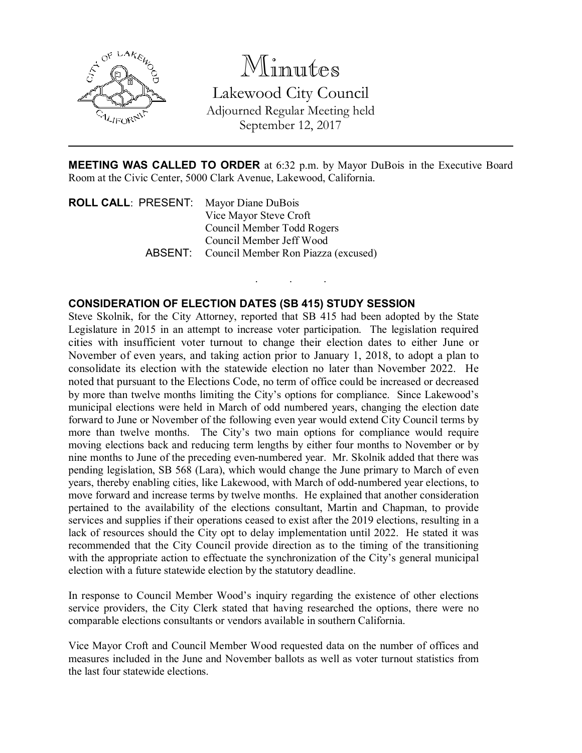

## Minutes

Lakewood City Council Adjourned Regular Meeting held September 12, 2017

MEETING WAS CALLED TO ORDER at 6:32 p.m. by Mayor DuBois in the Executive Board Room at the Civic Center, 5000 Clark Avenue, Lakewood, California.

. . .

ROLL CALL: PRESENT: Mayor Diane DuBois Vice Mayor Steve Croft Council Member Todd Rogers Council Member Jeff Wood ABSENT: Council Member Ron Piazza (excused)

## CONSIDERATION OF ELECTION DATES (SB 415) STUDY SESSION

Steve Skolnik, for the City Attorney, reported that SB 415 had been adopted by the State Legislature in 2015 in an attempt to increase voter participation. The legislation required cities with insufficient voter turnout to change their election dates to either June or November of even years, and taking action prior to January 1, 2018, to adopt a plan to consolidate its election with the statewide election no later than November 2022. He noted that pursuant to the Elections Code, no term of office could be increased or decreased by more than twelve months limiting the City's options for compliance. Since Lakewood's municipal elections were held in March of odd numbered years, changing the election date forward to June or November of the following even year would extend City Council terms by more than twelve months. The City's two main options for compliance would require moving elections back and reducing term lengths by either four months to November or by nine months to June of the preceding even-numbered year. Mr. Skolnik added that there was pending legislation, SB 568 (Lara), which would change the June primary to March of even years, thereby enabling cities, like Lakewood, with March of odd-numbered year elections, to move forward and increase terms by twelve months. He explained that another consideration pertained to the availability of the elections consultant, Martin and Chapman, to provide services and supplies if their operations ceased to exist after the 2019 elections, resulting in a lack of resources should the City opt to delay implementation until 2022. He stated it was recommended that the City Council provide direction as to the timing of the transitioning with the appropriate action to effectuate the synchronization of the City's general municipal election with a future statewide election by the statutory deadline.

In response to Council Member Wood's inquiry regarding the existence of other elections service providers, the City Clerk stated that having researched the options, there were no comparable elections consultants or vendors available in southern California.

Vice Mayor Croft and Council Member Wood requested data on the number of offices and measures included in the June and November ballots as well as voter turnout statistics from the last four statewide elections.